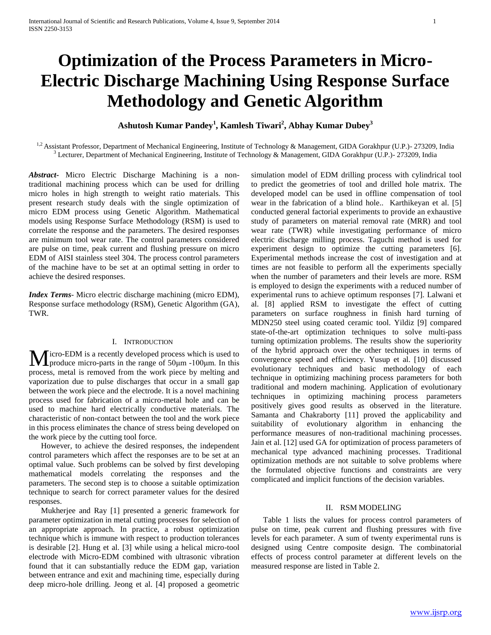# **Optimization of the Process Parameters in Micro-Electric Discharge Machining Using Response Surface Methodology and Genetic Algorithm**

**Ashutosh Kumar Pandey<sup>1</sup> , Kamlesh Tiwari<sup>2</sup> , Abhay Kumar Dubey<sup>3</sup>**

<sup>1,2</sup> Assistant Professor, Department of Mechanical Engineering, Institute of Technology & Management, GIDA Gorakhpur (U.P.)- 273209, India  $3$  Lecturer, Department of Mechanical Engineering, Institute of Technology & Management, GIDA Gorakhpur (U.P.) - 273209, India

*Abstract***-** Micro Electric Discharge Machining is a nontraditional machining process which can be used for drilling micro holes in high strength to weight ratio materials. This present research study deals with the single optimization of micro EDM process using Genetic Algorithm. Mathematical models using Response Surface Methodology (RSM) is used to correlate the response and the parameters. The desired responses are minimum tool wear rate. The control parameters considered are pulse on time, peak current and flushing pressure on micro EDM of AISI stainless steel 304. The process control parameters of the machine have to be set at an optimal setting in order to achieve the desired responses.

*Index Terms*- Micro electric discharge machining (micro EDM), Response surface methodology (RSM), Genetic Algorithm (GA), TWR.

#### I. INTRODUCTION

 $M$ icro-EDM is a recently developed process which is used to produce micro-parts in the range of  $50 \mu m$  -100 $\mu m$ . In this  $\blacksquare$  produce micro-parts in the range of 50μm -100μm. In this process, metal is removed from the work piece by melting and vaporization due to pulse discharges that occur in a small gap between the work piece and the electrode. It is a novel machining process used for fabrication of a micro-metal hole and can be used to machine hard electrically conductive materials. The characteristic of non-contact between the tool and the work piece in this process eliminates the chance of stress being developed on the work piece by the cutting tool force.

 However, to achieve the desired responses, the independent control parameters which affect the responses are to be set at an optimal value. Such problems can be solved by first developing mathematical models correlating the responses and the parameters. The second step is to choose a suitable optimization technique to search for correct parameter values for the desired responses.

 Mukherjee and Ray [1] presented a generic framework for parameter optimization in metal cutting processes for selection of an appropriate approach. In practice, a robust optimization technique which is immune with respect to production tolerances is desirable [2]. Hung et al. [3] while using a helical micro-tool electrode with Micro-EDM combined with ultrasonic vibration found that it can substantially reduce the EDM gap, variation between entrance and exit and machining time, especially during deep micro-hole drilling. Jeong et al. [4] proposed a geometric

simulation model of EDM drilling process with cylindrical tool to predict the geometries of tool and drilled hole matrix. The developed model can be used in offline compensation of tool wear in the fabrication of a blind hole.. Karthikeyan et al. [5] conducted general factorial experiments to provide an exhaustive study of parameters on material removal rate (MRR) and tool wear rate (TWR) while investigating performance of micro electric discharge milling process. Taguchi method is used for experiment design to optimize the cutting parameters [6]. Experimental methods increase the cost of investigation and at times are not feasible to perform all the experiments specially when the number of parameters and their levels are more. RSM is employed to design the experiments with a reduced number of experimental runs to achieve optimum responses [7]. Lalwani et al. [8] applied RSM to investigate the effect of cutting parameters on surface roughness in finish hard turning of MDN250 steel using coated ceramic tool. Yildiz [9] compared state-of-the-art optimization techniques to solve multi-pass turning optimization problems. The results show the superiority of the hybrid approach over the other techniques in terms of convergence speed and efficiency. Yusup et al. [10] discussed evolutionary techniques and basic methodology of each technique in optimizing machining process parameters for both traditional and modern machining. Application of evolutionary techniques in optimizing machining process parameters positively gives good results as observed in the literature. Samanta and Chakraborty [11] proved the applicability and suitability of evolutionary algorithm in enhancing the performance measures of non-traditional machining processes. Jain et al. [12] used GA for optimization of process parameters of mechanical type advanced machining processes. Traditional optimization methods are not suitable to solve problems where the formulated objective functions and constraints are very complicated and implicit functions of the decision variables.

#### II. RSM MODELING

 Table 1 lists the values for process control parameters of pulse on time, peak current and flushing pressures with five levels for each parameter. A sum of twenty experimental runs is designed using Centre composite design. The combinatorial effects of process control parameter at different levels on the measured response are listed in Table 2.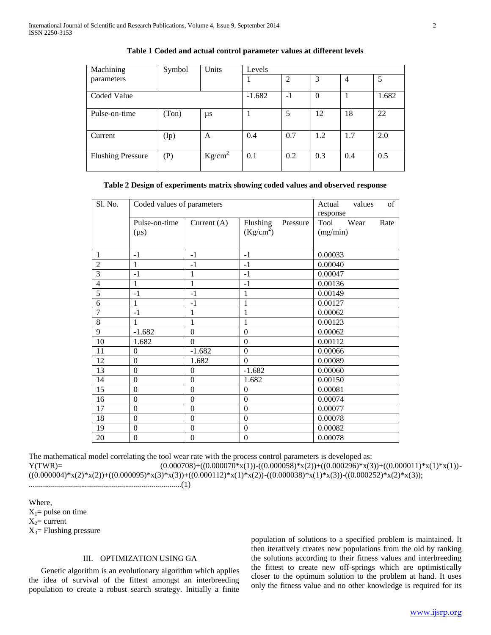| Machining                | Symbol | Units     | Levels   |      |          |                |       |
|--------------------------|--------|-----------|----------|------|----------|----------------|-------|
| parameters               |        |           |          | 2    | 3        | $\overline{4}$ |       |
| Coded Value              |        |           | $-1.682$ | $-1$ | $\theta$ |                | 1.682 |
| Pulse-on-time            | (Ton)  | μs        |          | 5    | 12       | 18             | 22    |
| Current                  | (Ip)   | A         | 0.4      | 0.7  | 1.2      | 1.7            | 2.0   |
| <b>Flushing Pressure</b> | (P)    | $Kg/cm^2$ | 0.1      | 0.2  | 0.3      | 0.4            | 0.5   |

#### **Table 1 Coded and actual control parameter values at different levels**

# **Table 2 Design of experiments matrix showing coded values and observed response**

| Sl. No.        | Coded values of parameters |                  |                       | of<br>Actual<br>values |
|----------------|----------------------------|------------------|-----------------------|------------------------|
|                |                            |                  |                       | response               |
|                | Pulse-on-time              | Current $(A)$    | Flushing<br>Pressure  | Tool<br>Wear<br>Rate   |
|                | $(\mu s)$                  |                  | (Kg/cm <sup>2</sup> ) | (mg/min)               |
|                |                            |                  |                       |                        |
| 1              | $-1$                       | $-1$             | $-1$                  | 0.00033                |
| $\overline{2}$ | 1                          | $-1$             | $-1$                  | 0.00040                |
| $\overline{3}$ | $-1$                       | $\mathbf{1}$     | $-1$                  | 0.00047                |
| $\overline{4}$ | 1                          | 1                | $-1$                  | 0.00136                |
| $\overline{5}$ | $-1$                       | $-1$             | $\mathbf{1}$          | 0.00149                |
| 6              | 1                          | $-1$             | 1                     | 0.00127                |
| $\overline{7}$ | $-1$                       | 1                | 1                     | 0.00062                |
| 8              | 1                          | 1                | 1                     | 0.00123                |
| 9              | $-1.682$                   | $\boldsymbol{0}$ | $\theta$              | 0.00062                |
| 10             | 1.682                      | $\Omega$         | $\theta$              | 0.00112                |
| 11             | $\theta$                   | $-1.682$         | $\boldsymbol{0}$      | 0.00066                |
| 12             | $\boldsymbol{0}$           | 1.682            | $\Omega$              | 0.00089                |
| 13             | $\boldsymbol{0}$           | $\Omega$         | $-1.682$              | 0.00060                |
| 14             | $\mathbf{0}$               | $\Omega$         | 1.682                 | 0.00150                |
| 15             | $\overline{0}$             | $\overline{0}$   | $\mathbf{0}$          | 0.00081                |
| 16             | $\mathbf{0}$               | $\boldsymbol{0}$ | $\mathbf{0}$          | 0.00074                |
| 17             | $\theta$                   | $\boldsymbol{0}$ | $\mathbf{0}$          | 0.00077                |
| 18             | $\boldsymbol{0}$           | $\boldsymbol{0}$ | $\boldsymbol{0}$      | 0.00078                |
| 19             | $\boldsymbol{0}$           | $\boldsymbol{0}$ | $\mathbf{0}$          | 0.00082                |
| 20             | $\theta$                   | $\mathbf{0}$     | $\mathbf{0}$          | 0.00078                |

The mathematical model correlating the tool wear rate with the process control parameters is developed as:  $Y(TWR) =$  (0.000708)+((0.000070\*x(1))-((0.000058)\*x(2))+((0.000296)\*x(3))+((0.000011)\*x(1)\*x(1))- $((0.000004)*x(2)*x(2)) + ((0.000095)*x(3)*x(3)) + ((0.000112)*x(1)*x(2)) - ((0.000038)*x(1)*x(3)) - ((0.000252)*x(2)*x(3));$ 

............................................................................(1)

Where,  $X_1$ = pulse on time  $X_2$ = current  $X_3$ = Flushing pressure

# III. OPTIMIZATION USING GA

 Genetic algorithm is an evolutionary algorithm which applies the idea of survival of the fittest amongst an interbreeding population to create a robust search strategy. Initially a finite

population of solutions to a specified problem is maintained. It then iteratively creates new populations from the old by ranking the solutions according to their fitness values and interbreeding the fittest to create new off-springs which are optimistically closer to the optimum solution to the problem at hand. It uses only the fitness value and no other knowledge is required for its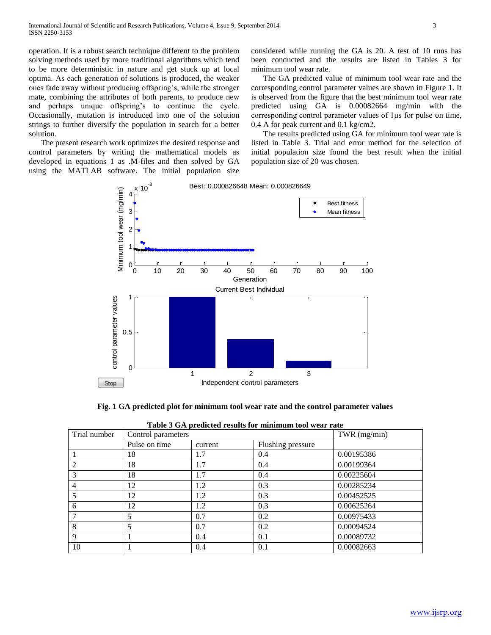operation. It is a robust search technique different to the problem solving methods used by more traditional algorithms which tend to be more deterministic in nature and get stuck up at local optima. As each generation of solutions is produced, the weaker ones fade away without producing offspring's, while the stronger mate, combining the attributes of both parents, to produce new and perhaps unique offspring's to continue the cycle. Occasionally, mutation is introduced into one of the solution strings to further diversify the population in search for a better solution.

 The present research work optimizes the desired response and control parameters by writing the mathematical models as developed in equations 1 as .M-files and then solved by GA using the MATLAB software. The initial population size

considered while running the GA is 20. A test of 10 runs has been conducted and the results are listed in Tables 3 for minimum tool wear rate.

 The GA predicted value of minimum tool wear rate and the corresponding control parameter values are shown in Figure 1. It is observed from the figure that the best minimum tool wear rate predicted using GA is 0.00082664 mg/min with the corresponding control parameter values of 1μs for pulse on time, 0.4 A for peak current and 0.1 kg/cm2.

 The results predicted using GA for minimum tool wear rate is listed in Table 3. Trial and error method for the selection of initial population size found the best result when the initial population size of 20 was chosen.



**Fig. 1 GA predicted plot for minimum tool wear rate and the control parameter values**

| Trial number | Table 5 OA predicted results for imminium tool wear rate<br>Control parameters |         |                   | TWR $(mg/min)$ |
|--------------|--------------------------------------------------------------------------------|---------|-------------------|----------------|
|              | Pulse on time                                                                  | current | Flushing pressure |                |
|              | 18                                                                             | 1.7     | 0.4               | 0.00195386     |
| 2            | 18                                                                             | 1.7     | 0.4               | 0.00199364     |
| 3            | 18                                                                             | 1.7     | 0.4               | 0.00225604     |
| 4            | 12                                                                             | 1.2     | 0.3               | 0.00285234     |
| 5            | 12                                                                             | 1.2     | 0.3               | 0.00452525     |
| 6            | 12                                                                             | 1.2     | 0.3               | 0.00625264     |
|              | 5                                                                              | 0.7     | 0.2               | 0.00975433     |
| 8            | 5                                                                              | 0.7     | 0.2               | 0.00094524     |
| 9            |                                                                                | 0.4     | 0.1               | 0.00089732     |
| 10           |                                                                                | 0.4     | 0.1               | 0.00082663     |

| Table 3 GA predicted results for minimum tool wear rate |  |
|---------------------------------------------------------|--|
|---------------------------------------------------------|--|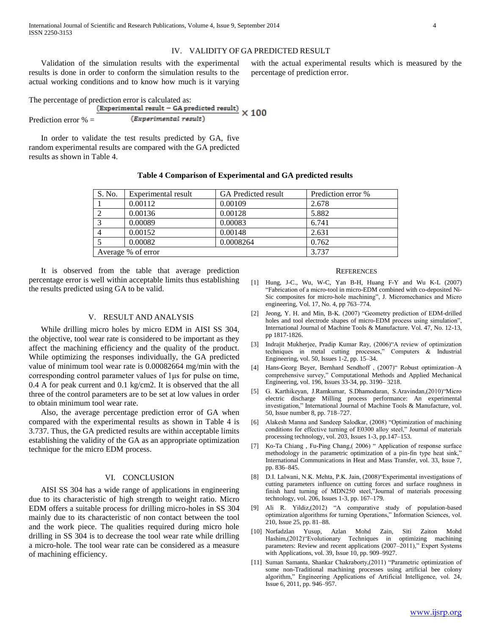#### IV. VALIDITY OF GA PREDICTED RESULT

percentage of prediction error.

 Validation of the simulation results with the experimental results is done in order to conform the simulation results to the actual working conditions and to know how much is it varying

The percentage of prediction error is calculated as: (Experimental result - GA predicted result)

 $\times 100$ (Experimental result) Prediction error % =

 In order to validate the test results predicted by GA, five random experimental results are compared with the GA predicted results as shown in Table 4.

# **Table 4 Comparison of Experimental and GA predicted results**

| S. No.             | Experimental result | <b>GA</b> Predicted result | Prediction error % |
|--------------------|---------------------|----------------------------|--------------------|
|                    | 0.00112             | 0.00109                    | 2.678              |
|                    | 0.00136             | 0.00128                    | 5.882              |
|                    | 0.00089             | 0.00083                    | 6.741              |
|                    | 0.00152             | 0.00148                    | 2.631              |
|                    | 0.00082             | 0.0008264                  | 0.762              |
| Average % of error |                     |                            | 3.737              |

 It is observed from the table that average prediction percentage error is well within acceptable limits thus establishing the results predicted using GA to be valid.

#### V. RESULT AND ANALYSIS

 While drilling micro holes by micro EDM in AISI SS 304, the objective, tool wear rate is considered to be important as they affect the machining efficiency and the quality of the product. While optimizing the responses individually, the GA predicted value of minimum tool wear rate is 0.00082664 mg/min with the corresponding control parameter values of 1μs for pulse on time, 0.4 A for peak current and 0.1 kg/cm2. It is observed that the all three of the control parameters are to be set at low values in order to obtain minimum tool wear rate.

 Also, the average percentage prediction error of GA when compared with the experimental results as shown in Table 4 is 3.737. Thus, the GA predicted results are within acceptable limits establishing the validity of the GA as an appropriate optimization technique for the micro EDM process.

#### VI. CONCLUSION

 AISI SS 304 has a wide range of applications in engineering due to its characteristic of high strength to weight ratio. Micro EDM offers a suitable process for drilling micro-holes in SS 304 mainly due to its characteristic of non contact between the tool and the work piece. The qualities required during micro hole drilling in SS 304 is to decrease the tool wear rate while drilling a micro-hole. The tool wear rate can be considered as a measure of machining efficiency.

#### **REFERENCES**

with the actual experimental results which is measured by the

- [1] Hung, J-C., Wu, W-C, Yan B-H, Huang F-Y and Wu K-L (2007) "Fabrication of a micro-tool in micro-EDM combined with co-deposited Ni-Sic composites for micro-hole machining", J. Micromechanics and Micro engineering, Vol. 17, No. 4, pp 763–774.
- [2] Jeong, Y. H. and Min, B-K. (2007) "Geometry prediction of EDM-drilled holes and tool electrode shapes of micro-EDM process using simulation", International Journal of Machine Tools & Manufacture. Vol. 47, No. 12-13, pp 1817-1826.
- [3] Indrajit Mukherjee, Pradip Kumar Ray, (2006)"A review of optimization techniques in metal cutting processes," Computers & Industrial Engineering, vol. 50, Issues 1-2, pp. 15–34.
- [4] Hans-Georg Beyer, Bernhard Sendhoff , (2007)" Robust optimization–A comprehensive survey," Computational Methods and Applied Mechanical Engineering, vol. 196, Issues 33-34, pp. 3190– 3218.
- [5] G. Karthikeyan, J.Ramkumar, S.Dhamodaran, S.Aravindan,(2010)"Micro electric discharge Milling process performance: An experimental investigation," International Journal of Machine Tools & Manufacture, vol. 50, Issue number 8, pp. 718–727.
- [6] Alakesh Manna and Sandeep Salodkar, (2008) "Optimization of machining conditions for effective turning of E0300 alloy steel," Journal of materials processing technology, vol. 203, Issues 1-3, pp.147–153.
- [7] Ko-Ta Chiang , Fu-Ping Chang,( 2006) " Application of response surface methodology in the parametric optimization of a pin-fin type heat sink," International Communications in Heat and Mass Transfer, vol. 33, Issue 7, pp. 836–845.
- [8] D.I. Lalwani, N.K. Mehta, P.K. Jain, (2008)"Experimental investigations of cutting parameters influence on cutting forces and surface roughness in finish hard turning of MDN250 steel,"Journal of materials processing technology, vol. 206, Issues 1-3, pp. 167–179.
- [9] Ali R. Yildiz,(2012) "A comparative study of population-based optimization algorithms for turning Operations," Information Sciences, vol. 210, Issue 25, pp. 81–88.
- [10] Norfadzlan Yusup, Azlan Mohd Zain, Siti Zaiton Mohd Hashim,(2012)"Evolutionary Techniques in optimizing machining parameters: Review and recent applications (2007–2011)," Expert Systems with Applications, vol. 39, Issue 10, pp. 909–9927.
- [11] Suman Samanta, Shankar Chakraborty,(2011) "Parametric optimization of some non-Traditional machining processes using artificial bee colony algorithm," Engineering Applications of Artificial Intelligence, vol. 24, Issue 6, 2011, pp. 946–957.